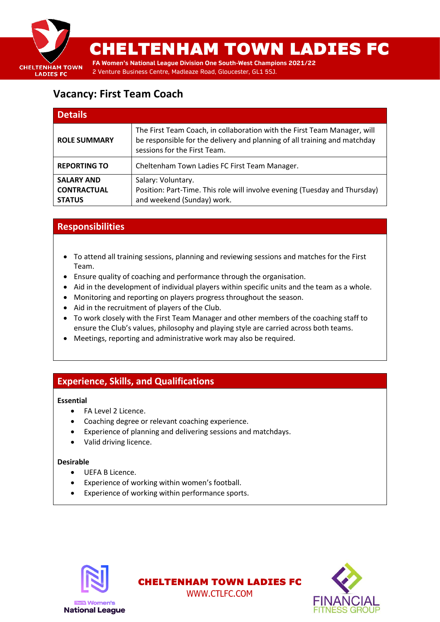

# CHELTENHAM TOWN LADIES FC

**FA Women's National League Division One South-West Champions 2021/22** 2 Venture Business Centre, Madleaze Road, Gloucester, GL1 5SJ.

## **Vacancy: First Team Coach**

| <b>Details</b>                                           |                                                                                                                                                                                       |
|----------------------------------------------------------|---------------------------------------------------------------------------------------------------------------------------------------------------------------------------------------|
| <b>ROLE SUMMARY</b>                                      | The First Team Coach, in collaboration with the First Team Manager, will<br>be responsible for the delivery and planning of all training and matchday<br>sessions for the First Team. |
| <b>REPORTING TO</b>                                      | Cheltenham Town Ladies FC First Team Manager.                                                                                                                                         |
| <b>SALARY AND</b><br><b>CONTRACTUAL</b><br><b>STATUS</b> | Salary: Voluntary.<br>Position: Part-Time. This role will involve evening (Tuesday and Thursday)<br>and weekend (Sunday) work.                                                        |

## **Responsibilities**

- To attend all training sessions, planning and reviewing sessions and matches for the First Team.
- Ensure quality of coaching and performance through the organisation.
- Aid in the development of individual players within specific units and the team as a whole.
- Monitoring and reporting on players progress throughout the season.
- Aid in the recruitment of players of the Club.
- To work closely with the First Team Manager and other members of the coaching staff to ensure the Club's values, philosophy and playing style are carried across both teams.

CHELTENHAM TOWN LADIES FC WWW.CTLFC.COM

• Meetings, reporting and administrative work may also be required.

## **Experience, Skills, and Qualifications**

#### **Essential**

- FA Level 2 Licence.
- Coaching degree or relevant coaching experience.
- Experience of planning and delivering sessions and matchdays.
- Valid driving licence.

#### **Desirable**

- UEFA B Licence.
- Experience of working within women's football.
- Experience of working within performance sports.